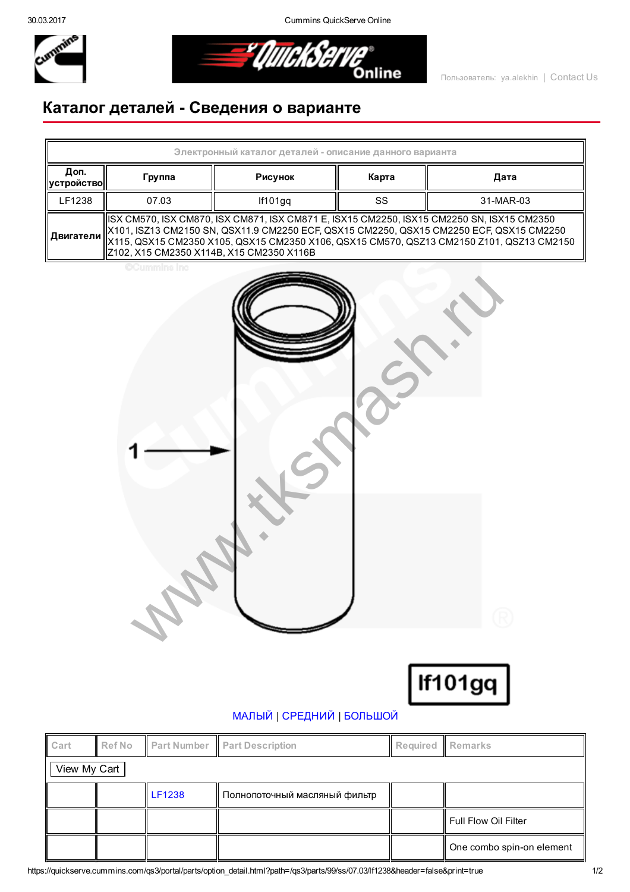30.03.2017 Cummins QuickServe Online



*EluickServe* 

## Каталог деталей Сведения о варианте

| Электронный каталог деталей - описание данного варианта |                                                                                                                                                                                                                                                                                                                                                           |         |       |           |  |  |  |  |
|---------------------------------------------------------|-----------------------------------------------------------------------------------------------------------------------------------------------------------------------------------------------------------------------------------------------------------------------------------------------------------------------------------------------------------|---------|-------|-----------|--|--|--|--|
| Доп.<br><b>  устройство  </b>                           | Группа                                                                                                                                                                                                                                                                                                                                                    | Рисунок | Карта | Дата      |  |  |  |  |
| LF1238                                                  | 07.03                                                                                                                                                                                                                                                                                                                                                     | If101gg | SS    | 31-MAR-03 |  |  |  |  |
|                                                         | ISX CM570, ISX CM870, ISX CM871, ISX CM871 E, ISX15 CM2250, ISX15 CM2250 SN, ISX15 CM2350<br>  X101, ISZ13 CM2150 SN, QSX11.9 CM2250 ECF, QSX15 CM2250, QSX15 CM2250 ECF, QSX15 CM2250<br>.    <b>Двигатели</b>    X115, QSX15 CM2350 X105, QSX15 CM2350 X106, QSX15 CM570, QSZ13 CM2150 Z101, QSZ13 CM2150<br>  Z102, X15 CM2350 X114B, X15 CM2350 X116B |         |       |           |  |  |  |  |

**CCummins Inc** 



If101gq

## [МАЛЫЙ](javascript:swap_img() | [СРЕДНИЙ](javascript:swap_img() | [БОЛЬШОЙ](javascript:swap_img()

| Cart         | <b>Ref No</b> | Part Number   | <b>Part Description</b>       | Required Remarks |                           |  |  |  |
|--------------|---------------|---------------|-------------------------------|------------------|---------------------------|--|--|--|
| View My Cart |               |               |                               |                  |                           |  |  |  |
|              |               | <b>LF1238</b> | Полнопоточный масляный фильтр |                  |                           |  |  |  |
|              |               |               |                               |                  | Full Flow Oil Filter      |  |  |  |
|              |               |               |                               |                  | One combo spin-on element |  |  |  |